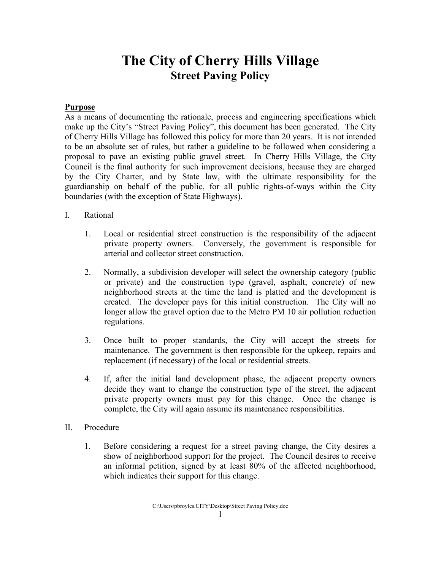## **The City of Cherry Hills Village Street Paving Policy**

#### **Purpose**

As a means of documenting the rationale, process and engineering specifications which make up the City's "Street Paving Policy", this document has been generated. The City of Cherry Hills Village has followed this policy for more than 20 years. It is not intended to be an absolute set of rules, but rather a guideline to be followed when considering a proposal to pave an existing public gravel street. In Cherry Hills Village, the City Council is the final authority for such improvement decisions, because they are charged by the City Charter, and by State law, with the ultimate responsibility for the guardianship on behalf of the public, for all public rights-of-ways within the City boundaries (with the exception of State Highways).

#### I. Rational

- 1. Local or residential street construction is the responsibility of the adjacent private property owners. Conversely, the government is responsible for arterial and collector street construction.
- 2. Normally, a subdivision developer will select the ownership category (public or private) and the construction type (gravel, asphalt, concrete) of new neighborhood streets at the time the land is platted and the development is created. The developer pays for this initial construction. The City will no longer allow the gravel option due to the Metro PM 10 air pollution reduction regulations.
- 3. Once built to proper standards, the City will accept the streets for maintenance. The government is then responsible for the upkeep, repairs and replacement (if necessary) of the local or residential streets.
- 4. If, after the initial land development phase, the adjacent property owners decide they want to change the construction type of the street, the adjacent private property owners must pay for this change. Once the change is complete, the City will again assume its maintenance responsibilities.
- II. Procedure
	- 1. Before considering a request for a street paving change, the City desires a show of neighborhood support for the project. The Council desires to receive an informal petition, signed by at least 80% of the affected neighborhood, which indicates their support for this change.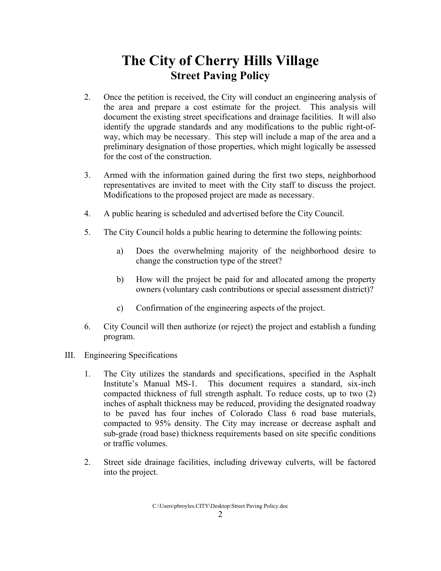# **The City of Cherry Hills Village Street Paving Policy**

- 2. Once the petition is received, the City will conduct an engineering analysis of the area and prepare a cost estimate for the project. This analysis will document the existing street specifications and drainage facilities. It will also identify the upgrade standards and any modifications to the public right-ofway, which may be necessary. This step will include a map of the area and a preliminary designation of those properties, which might logically be assessed for the cost of the construction.
- 3. Armed with the information gained during the first two steps, neighborhood representatives are invited to meet with the City staff to discuss the project. Modifications to the proposed project are made as necessary.
- 4. A public hearing is scheduled and advertised before the City Council.
- 5. The City Council holds a public hearing to determine the following points:
	- a) Does the overwhelming majority of the neighborhood desire to change the construction type of the street?
	- b) How will the project be paid for and allocated among the property owners (voluntary cash contributions or special assessment district)?
	- c) Confirmation of the engineering aspects of the project.
- 6. City Council will then authorize (or reject) the project and establish a funding program.
- III. Engineering Specifications
	- 1. The City utilizes the standards and specifications, specified in the Asphalt Institute's Manual MS-1. This document requires a standard, six-inch compacted thickness of full strength asphalt. To reduce costs, up to two (2) inches of asphalt thickness may be reduced, providing the designated roadway to be paved has four inches of Colorado Class 6 road base materials, compacted to 95% density. The City may increase or decrease asphalt and sub-grade (road base) thickness requirements based on site specific conditions or traffic volumes.
	- 2. Street side drainage facilities, including driveway culverts, will be factored into the project.